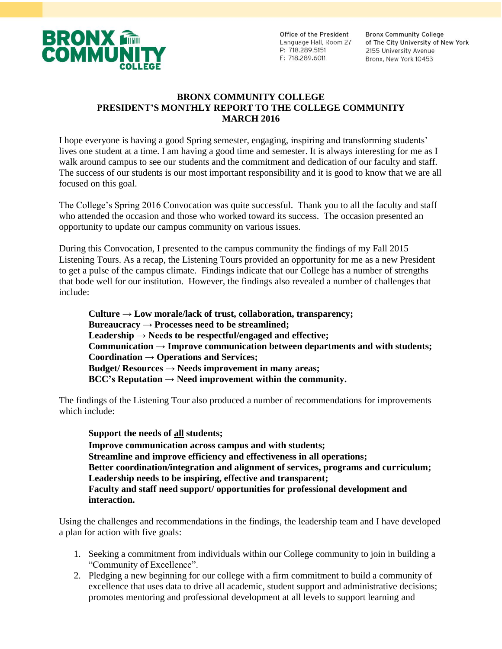

Office of the President Language Hall, Room 27 P: 718.289.5151 F: 718.289.6011

**Bronx Community College** of The City University of New York 2155 University Avenue Bronx, New York 10453

#### **BRONX COMMUNITY COLLEGE PRESIDENT'S MONTHLY REPORT TO THE COLLEGE COMMUNITY MARCH 2016**

I hope everyone is having a good Spring semester, engaging, inspiring and transforming students' lives one student at a time. I am having a good time and semester. It is always interesting for me as I walk around campus to see our students and the commitment and dedication of our faculty and staff. The success of our students is our most important responsibility and it is good to know that we are all focused on this goal.

The College's Spring 2016 Convocation was quite successful. Thank you to all the faculty and staff who attended the occasion and those who worked toward its success. The occasion presented an opportunity to update our campus community on various issues.

During this Convocation, I presented to the campus community the findings of my Fall 2015 Listening Tours. As a recap, the Listening Tours provided an opportunity for me as a new President to get a pulse of the campus climate. Findings indicate that our College has a number of strengths that bode well for our institution. However, the findings also revealed a number of challenges that include:

**Culture → Low morale/lack of trust, collaboration, transparency; Bureaucracy → Processes need to be streamlined; Leadership → Needs to be respectful/engaged and effective; Communication → Improve communication between departments and with students; Coordination → Operations and Services; Budget/ Resources → Needs improvement in many areas;**  $BCC's$  **Reputation**  $\rightarrow$  **Need improvement within the community.** 

The findings of the Listening Tour also produced a number of recommendations for improvements which include:

**Support the needs of all students; Improve communication across campus and with students; Streamline and improve efficiency and effectiveness in all operations; Better coordination/integration and alignment of services, programs and curriculum; Leadership needs to be inspiring, effective and transparent; Faculty and staff need support/ opportunities for professional development and interaction.**

Using the challenges and recommendations in the findings, the leadership team and I have developed a plan for action with five goals:

- 1. Seeking a commitment from individuals within our College community to join in building a "Community of Excellence".
- 2. Pledging a new beginning for our college with a firm commitment to build a community of excellence that uses data to drive all academic, student support and administrative decisions; promotes mentoring and professional development at all levels to support learning and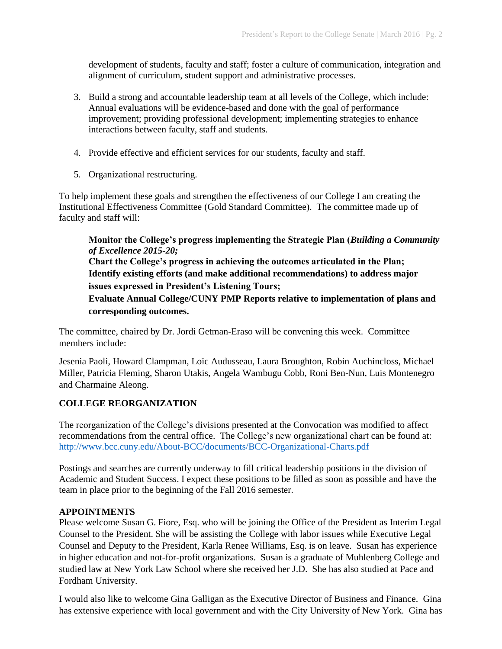development of students, faculty and staff; foster a culture of communication, integration and alignment of curriculum, student support and administrative processes.

- 3. Build a strong and accountable leadership team at all levels of the College, which include: Annual evaluations will be evidence-based and done with the goal of performance improvement; providing professional development; implementing strategies to enhance interactions between faculty, staff and students.
- 4. Provide effective and efficient services for our students, faculty and staff.
- 5. Organizational restructuring.

To help implement these goals and strengthen the effectiveness of our College I am creating the Institutional Effectiveness Committee (Gold Standard Committee). The committee made up of faculty and staff will:

**Monitor the College's progress implementing the Strategic Plan (***Building a Community of Excellence 2015-20;* **Chart the College's progress in achieving the outcomes articulated in the Plan; Identify existing efforts (and make additional recommendations) to address major issues expressed in President's Listening Tours; Evaluate Annual College/CUNY PMP Reports relative to implementation of plans and corresponding outcomes.**

The committee, chaired by Dr. Jordi Getman-Eraso will be convening this week. Committee members include:

Jesenia Paoli, Howard Clampman, Loïc Audusseau, Laura Broughton, Robin Auchincloss, Michael Miller, Patricia Fleming, Sharon Utakis, Angela Wambugu Cobb, Roni Ben-Nun, Luis Montenegro and Charmaine Aleong.

### **COLLEGE REORGANIZATION**

The reorganization of the College's divisions presented at the Convocation was modified to affect recommendations from the central office. The College's new organizational chart can be found at: <http://www.bcc.cuny.edu/About-BCC/documents/BCC-Organizational-Charts.pdf>

Postings and searches are currently underway to fill critical leadership positions in the division of Academic and Student Success. I expect these positions to be filled as soon as possible and have the team in place prior to the beginning of the Fall 2016 semester.

### **APPOINTMENTS**

Please welcome Susan G. Fiore, Esq. who will be joining the Office of the President as Interim Legal Counsel to the President. She will be assisting the College with labor issues while Executive Legal Counsel and Deputy to the President, Karla Renee Williams, Esq. is on leave. Susan has experience in higher education and not-for-profit organizations. Susan is a graduate of Muhlenberg College and studied law at New York Law School where she received her J.D. She has also studied at Pace and Fordham University.

I would also like to welcome Gina Galligan as the Executive Director of Business and Finance. Gina has extensive experience with local government and with the City University of New York. Gina has